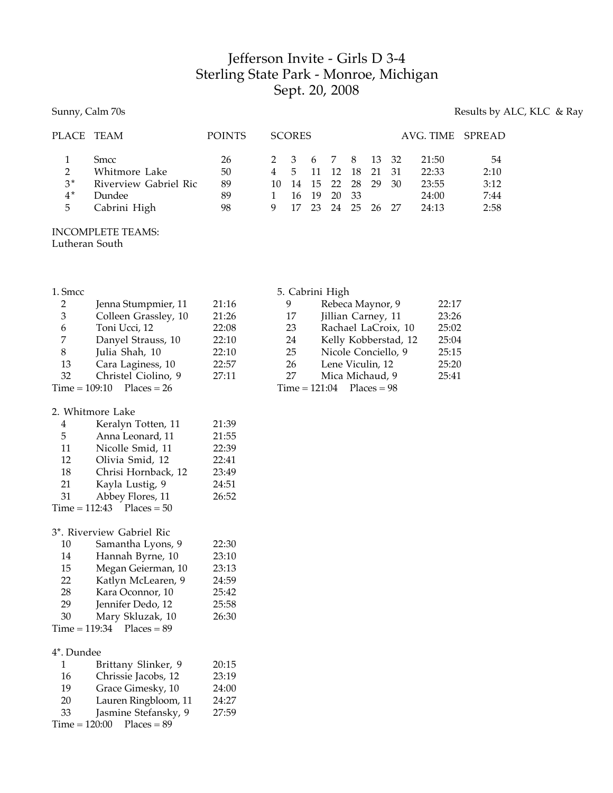## Jefferson Invite - Girls D 3-4 Sterling State Park - Monroe, Michigan Sept. 20, 2008

## Sunny, Calm 70s Results by ALC, KLC & Ray

| PLACE TEAM               |                                                                                        | <b>POINTS</b>              |              | <b>SCORES</b>      |                          |                                                              |      |       |    | AVG. TIME SPREAD                          |                                    |
|--------------------------|----------------------------------------------------------------------------------------|----------------------------|--------------|--------------------|--------------------------|--------------------------------------------------------------|------|-------|----|-------------------------------------------|------------------------------------|
| 2<br>$3^*$<br>$4^*$<br>5 | <b>Smcc</b><br>Whitmore Lake<br>Riverview Gabriel Ric<br><b>Dundee</b><br>Cabrini High | 26<br>50<br>89<br>89<br>98 | 4<br>10<br>9 | .5.<br>14 15<br>17 | $\overline{11}$<br>16 19 | 2 3 6 7 8 13 32<br>12<br>22 28 29<br>20 33<br>23 24 25 26 27 | - 18 | 21 31 | 30 | 21:50<br>22:33<br>23:55<br>24:00<br>24:13 | 54<br>2:10<br>3:12<br>7:44<br>2:58 |
|                          |                                                                                        |                            |              |                    |                          |                                                              |      |       |    |                                           |                                    |

INCOMPLETE TEAMS: Lutheran South

| m<br>រ៖ |
|---------|
|         |

| 1. Smcc         | 5. Cabrini High      |       |                 |                      |       |  |
|-----------------|----------------------|-------|-----------------|----------------------|-------|--|
| 2               | Jenna Stumpmier, 11  | 21:16 | 9               | Rebeca Maynor, 9     | 22:17 |  |
| 3               | Colleen Grassley, 10 | 21:26 | 17              | Jillian Carney, 11   | 23:26 |  |
| 6               | Toni Ucci, 12        | 22:08 | 23              | Rachael LaCroix, 10  | 25:02 |  |
| 7               | Danyel Strauss, 10   | 22:10 | 24              | Kelly Kobberstad, 12 | 25:04 |  |
| 8               | Julia Shah, 10       | 22:10 | 25              | Nicole Conciello, 9  | 25:15 |  |
| 13              | Cara Laginess, 10    | 22:57 | 26              | Lene Viculin, 12     | 25:20 |  |
| 32              | Christel Ciolino, 9  | 27:11 | 27              | Mica Michaud, 9      | 25:41 |  |
| $Time = 109:10$ | $\text{Places} = 26$ |       | $Time = 121:04$ | $\text{Places}=98$   |       |  |
|                 |                      |       |                 |                      |       |  |

2. Whitmore Lake

| 4  | Keralyn Totten, 11            | 21:39 |
|----|-------------------------------|-------|
| 5  | Anna Leonard, 11              | 21:55 |
| 11 | Nicolle Smid, 11              | 22:39 |
| 12 | Olivia Smid, 12               | 22:41 |
| 18 | Chrisi Hornback, 12           | 23:49 |
| 21 | Kayla Lustig, 9               | 24:51 |
| 31 | Abbey Flores, 11              | 26:52 |
|    | $Time = 112:43$ $Places = 50$ |       |
|    |                               |       |

## 3\*. Riverview Gabriel Ric

| Samantha Lyons, 9<br>10     | 22:30 |
|-----------------------------|-------|
| Hannah Byrne, 10<br>14      | 23:10 |
| Megan Geierman, 10<br>15    | 23:13 |
| Katlyn McLearen, 9<br>22    | 24:59 |
| Kara Oconnor, 10<br>28      | 25:42 |
| 29<br>Jennifer Dedo, 12     | 25:58 |
| Mary Skluzak, 10<br>30      | 26:30 |
| $Time = 119:34$ Places = 89 |       |

## 4\*. Dundee

| 1  | Brittany Slinker, 9         | 20:15 |
|----|-----------------------------|-------|
| 16 | Chrissie Jacobs, 12         | 23:19 |
| 19 | Grace Gimesky, 10           | 24:00 |
| 20 | Lauren Ringbloom, 11        | 24:27 |
| 33 | Jasmine Stefansky, 9        | 27:59 |
|    | $Time = 120:00$ Places = 89 |       |